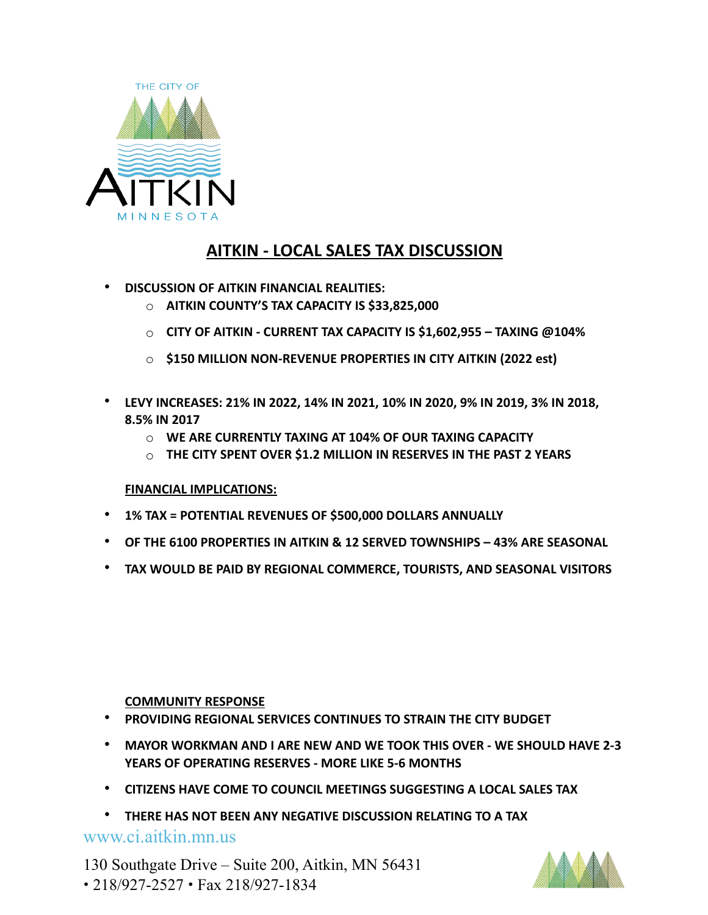

## **AITKIN - LOCAL SALES TAX DISCUSSION**

- **DISCUSSION OF AITKIN FINANCIAL REALITIES:**
	- o **AITKIN COUNTY'S TAX CAPACITY IS \$33,825,000**
	- o **CITY OF AITKIN CURRENT TAX CAPACITY IS \$1,602,955 TAXING @104%**
	- o **\$150 MILLION NON-REVENUE PROPERTIES IN CITY AITKIN (2022 est)**
- **LEVY INCREASES: 21% IN 2022, 14% IN 2021, 10% IN 2020, 9% IN 2019, 3% IN 2018, 8.5% IN 2017** 
	- o **WE ARE CURRENTLY TAXING AT 104% OF OUR TAXING CAPACITY**
	- o **THE CITY SPENT OVER \$1.2 MILLION IN RESERVES IN THE PAST 2 YEARS**

#### **FINANCIAL IMPLICATIONS:**

- **1% TAX = POTENTIAL REVENUES OF \$500,000 DOLLARS ANNUALLY**
- **OF THE 6100 PROPERTIES IN AITKIN & 12 SERVED TOWNSHIPS 43% ARE SEASONAL**
- **TAX WOULD BE PAID BY REGIONAL COMMERCE, TOURISTS, AND SEASONAL VISITORS**

#### **COMMUNITY RESPONSE**

- **PROVIDING REGIONAL SERVICES CONTINUES TO STRAIN THE CITY BUDGET**
- **MAYOR WORKMAN AND I ARE NEW AND WE TOOK THIS OVER WE SHOULD HAVE 2-3 YEARS OF OPERATING RESERVES - MORE LIKE 5-6 MONTHS**
- **CITIZENS HAVE COME TO COUNCIL MEETINGS SUGGESTING A LOCAL SALES TAX**
- **THERE HAS NOT BEEN ANY NEGATIVE DISCUSSION RELATING TO A TAX**

www.ci.aitkin.mn.us

130 Southgate Drive – Suite 200, Aitkin, MN 56431 • 218/927-2527 • Fax 218/927-1834